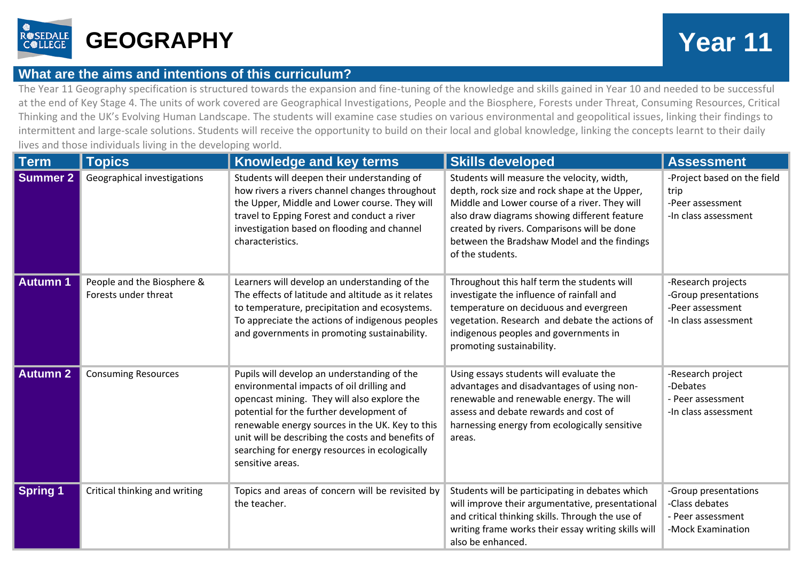

## **What are the aims and intentions of this curriculum?**

The Year 11 Geography specification is structured towards the expansion and fine-tuning of the knowledge and skills gained in Year 10 and needed to be successful at the end of Key Stage 4. The units of work covered are Geographical Investigations, People and the Biosphere, Forests under Threat, Consuming Resources, Critical Thinking and the UK's Evolving Human Landscape. The students will examine case studies on various environmental and geopolitical issues, linking their findings to intermittent and large-scale solutions. Students will receive the opportunity to build on their local and global knowledge, linking the concepts learnt to their daily lives and those individuals living in the developing world.

| Term            | <b>Topics</b>                                      | <b>Knowledge and key terms</b>                                                                                                                                                                                                                                                                                                                                    | <b>Skills developed</b>                                                                                                                                                                                                                                                                                        | <b>Assessment</b>                                                                      |
|-----------------|----------------------------------------------------|-------------------------------------------------------------------------------------------------------------------------------------------------------------------------------------------------------------------------------------------------------------------------------------------------------------------------------------------------------------------|----------------------------------------------------------------------------------------------------------------------------------------------------------------------------------------------------------------------------------------------------------------------------------------------------------------|----------------------------------------------------------------------------------------|
| <b>Summer 2</b> | Geographical investigations                        | Students will deepen their understanding of<br>how rivers a rivers channel changes throughout<br>the Upper, Middle and Lower course. They will<br>travel to Epping Forest and conduct a river<br>investigation based on flooding and channel<br>characteristics.                                                                                                  | Students will measure the velocity, width,<br>depth, rock size and rock shape at the Upper,<br>Middle and Lower course of a river. They will<br>also draw diagrams showing different feature<br>created by rivers. Comparisons will be done<br>between the Bradshaw Model and the findings<br>of the students. | -Project based on the field<br>trip<br>-Peer assessment<br>-In class assessment        |
| <b>Autumn 1</b> | People and the Biosphere &<br>Forests under threat | Learners will develop an understanding of the<br>The effects of latitude and altitude as it relates<br>to temperature, precipitation and ecosystems.<br>To appreciate the actions of indigenous peoples<br>and governments in promoting sustainability.                                                                                                           | Throughout this half term the students will<br>investigate the influence of rainfall and<br>temperature on deciduous and evergreen<br>vegetation. Research and debate the actions of<br>indigenous peoples and governments in<br>promoting sustainability.                                                     | -Research projects<br>-Group presentations<br>-Peer assessment<br>-In class assessment |
| <b>Autumn 2</b> | <b>Consuming Resources</b>                         | Pupils will develop an understanding of the<br>environmental impacts of oil drilling and<br>opencast mining. They will also explore the<br>potential for the further development of<br>renewable energy sources in the UK. Key to this<br>unit will be describing the costs and benefits of<br>searching for energy resources in ecologically<br>sensitive areas. | Using essays students will evaluate the<br>advantages and disadvantages of using non-<br>renewable and renewable energy. The will<br>assess and debate rewards and cost of<br>harnessing energy from ecologically sensitive<br>areas.                                                                          | -Research project<br>-Debates<br>- Peer assessment<br>-In class assessment             |
| <b>Spring 1</b> | Critical thinking and writing                      | Topics and areas of concern will be revisited by<br>the teacher.                                                                                                                                                                                                                                                                                                  | Students will be participating in debates which<br>will improve their argumentative, presentational<br>and critical thinking skills. Through the use of<br>writing frame works their essay writing skills will<br>also be enhanced.                                                                            | -Group presentations<br>-Class debates<br>- Peer assessment<br>-Mock Examination       |